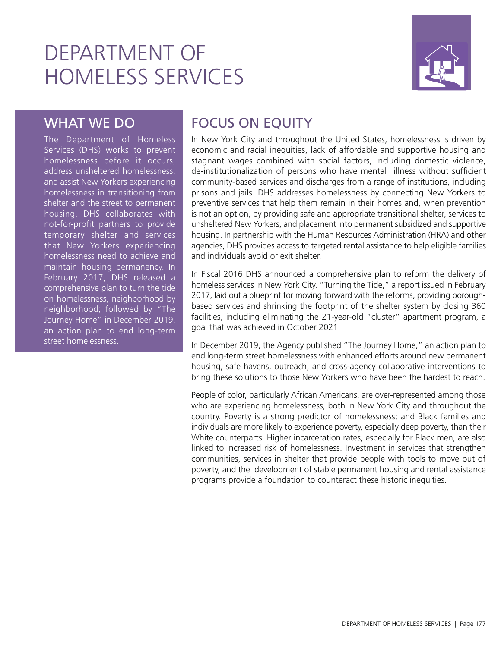# DEPARTMENT OF HOMELESS SERVICES



### WHAT WE DO

The Department of Homeless Services (DHS) works to prevent homelessness before it occurs, address unsheltered homelessness, and assist New Yorkers experiencing homelessness in transitioning from shelter and the street to permanent housing. DHS collaborates with not-for-profit partners to provide temporary shelter and services that New Yorkers experiencing homelessness need to achieve and maintain housing permanency. In February 2017, DHS released a comprehensive plan to turn the tide on homelessness, neighborhood by neighborhood; followed by "The Journey Home" in December 2019, an action plan to end long-term street homelessness.

## FOCUS ON EQUITY

In New York City and throughout the United States, homelessness is driven by economic and racial inequities, lack of affordable and supportive housing and stagnant wages combined with social factors, including domestic violence, de-institutionalization of persons who have mental illness without sufficient community-based services and discharges from a range of institutions, including prisons and jails. DHS addresses homelessness by connecting New Yorkers to preventive services that help them remain in their homes and, when prevention is not an option, by providing safe and appropriate transitional shelter, services to unsheltered New Yorkers, and placement into permanent subsidized and supportive housing. In partnership with the Human Resources Administration (HRA) and other agencies, DHS provides access to targeted rental assistance to help eligible families and individuals avoid or exit shelter.

In Fiscal 2016 DHS announced a comprehensive plan to reform the delivery of homeless services in New York City. "Turning the Tide," a report issued in February 2017, laid out a blueprint for moving forward with the reforms, providing boroughbased services and shrinking the footprint of the shelter system by closing 360 facilities, including eliminating the 21-year-old "cluster" apartment program, a goal that was achieved in October 2021.

In December 2019, the Agency published "The Journey Home," an action plan to end long-term street homelessness with enhanced efforts around new permanent housing, safe havens, outreach, and cross-agency collaborative interventions to bring these solutions to those New Yorkers who have been the hardest to reach.

People of color, particularly African Americans, are over-represented among those who are experiencing homelessness, both in New York City and throughout the country. Poverty is a strong predictor of homelessness; and Black families and individuals are more likely to experience poverty, especially deep poverty, than their White counterparts. Higher incarceration rates, especially for Black men, are also linked to increased risk of homelessness. Investment in services that strengthen communities, services in shelter that provide people with tools to move out of poverty, and the development of stable permanent housing and rental assistance programs provide a foundation to counteract these historic inequities.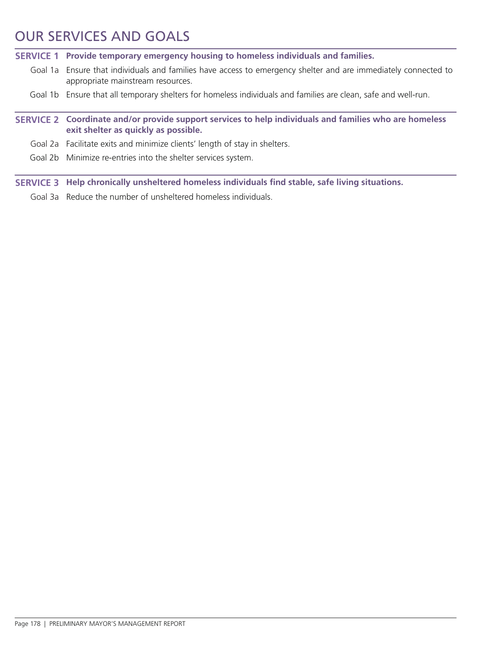### OUR SERVICES AND GOALS

**SERVICE 1 Provide temporary emergency housing to homeless individuals and families.**

- Goal 1a Ensure that individuals and families have access to emergency shelter and are immediately connected to appropriate mainstream resources.
- Goal 1b Ensure that all temporary shelters for homeless individuals and families are clean, safe and well-run.
- **SERVICE 2 Coordinate and/or provide support services to help individuals and families who are homeless exit shelter as quickly as possible.**
	- Goal 2a Facilitate exits and minimize clients' length of stay in shelters.
	- Goal 2b Minimize re-entries into the shelter services system.

**SERVICE 3 Help chronically unsheltered homeless individuals find stable, safe living situations.**

Goal 3a Reduce the number of unsheltered homeless individuals.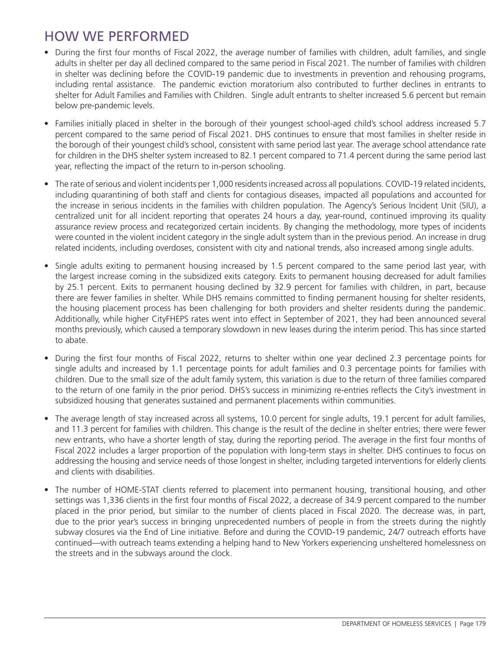### HOW WE PERFORMED

- During the first four months of Fiscal 2022, the average number of families with children, adult families, and single adults in shelter per day all declined compared to the same period in Fiscal 2021. The number of families with children in shelter was declining before the COVID-19 pandemic due to investments in prevention and rehousing programs, including rental assistance. The pandemic eviction moratorium also contributed to further declines in entrants to shelter for Adult Families and Families with Children. Single adult entrants to shelter increased 5.6 percent but remain below pre-pandemic levels.
- Families initially placed in shelter in the borough of their youngest school-aged child's school address increased 5.7 percent compared to the same period of Fiscal 2021. DHS continues to ensure that most families in shelter reside in the borough of their youngest child's school, consistent with same period last year. The average school attendance rate for children in the DHS shelter system increased to 82.1 percent compared to 71.4 percent during the same period last year, reflecting the impact of the return to in-person schooling.
- The rate of serious and violent incidents per 1,000 residents increased across all populations. COVID-19 related incidents, including quarantining of both staff and clients for contagious diseases, impacted all populations and accounted for the increase in serious incidents in the families with children population. The Agency's Serious Incident Unit (SIU), a centralized unit for all incident reporting that operates 24 hours a day, year-round, continued improving its quality assurance review process and recategorized certain incidents. By changing the methodology, more types of incidents were counted in the violent incident category in the single adult system than in the previous period. An increase in drug related incidents, including overdoses, consistent with city and national trends, also increased among single adults.
- Single adults exiting to permanent housing increased by 1.5 percent compared to the same period last year, with the largest increase coming in the subsidized exits category. Exits to permanent housing decreased for adult families by 25.1 percent. Exits to permanent housing declined by 32.9 percent for families with children, in part, because there are fewer families in shelter. While DHS remains committed to finding permanent housing for shelter residents, the housing placement process has been challenging for both providers and shelter residents during the pandemic. Additionally, while higher CityFHEPS rates went into effect in September of 2021, they had been announced several months previously, which caused a temporary slowdown in new leases during the interim period. This has since started to abate.
- During the first four months of Fiscal 2022, returns to shelter within one year declined 2.3 percentage points for single adults and increased by 1.1 percentage points for adult families and 0.3 percentage points for families with children. Due to the small size of the adult family system, this variation is due to the return of three families compared to the return of one family in the prior period. DHS's success in minimizing re-entries reflects the City's investment in subsidized housing that generates sustained and permanent placements within communities.
- The average length of stay increased across all systems, 10.0 percent for single adults, 19.1 percent for adult families, and 11.3 percent for families with children. This change is the result of the decline in shelter entries; there were fewer new entrants, who have a shorter length of stay, during the reporting period. The average in the first four months of Fiscal 2022 includes a larger proportion of the population with long-term stays in shelter. DHS continues to focus on addressing the housing and service needs of those longest in shelter, including targeted interventions for elderly clients and clients with disabilities.
- The number of HOME-STAT clients referred to placement into permanent housing, transitional housing, and other settings was 1,336 clients in the first four months of Fiscal 2022, a decrease of 34.9 percent compared to the number placed in the prior period, but similar to the number of clients placed in Fiscal 2020. The decrease was, in part, due to the prior year's success in bringing unprecedented numbers of people in from the streets during the nightly subway closures via the End of Line initiative. Before and during the COVID-19 pandemic, 24/7 outreach efforts have continued—with outreach teams extending a helping hand to New Yorkers experiencing unsheltered homelessness on the streets and in the subways around the clock.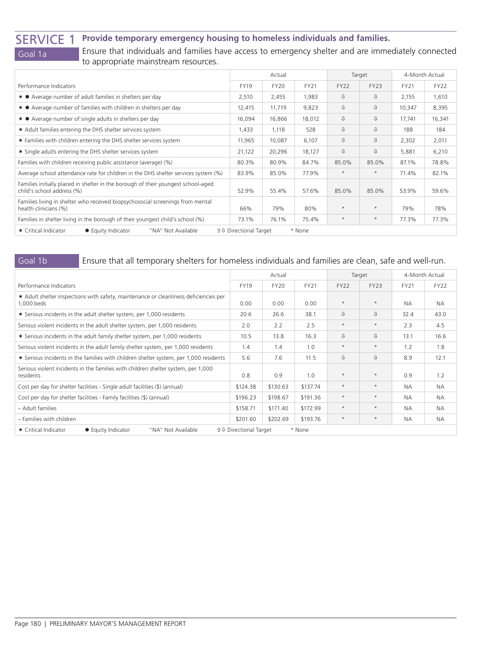SERVICE 1 **Provide temporary emergency housing to homeless individuals and families.**

Goal 1a Ensure that individuals and families have access to emergency shelter and are immediately connected to appropriate mainstream resources.

|                                                                                                                 |                              | Actual      |             | Target      |             | 4-Month Actual |             |
|-----------------------------------------------------------------------------------------------------------------|------------------------------|-------------|-------------|-------------|-------------|----------------|-------------|
| Performance Indicators                                                                                          | <b>FY19</b>                  | <b>FY20</b> | <b>FY21</b> | <b>FY22</b> | <b>FY23</b> | <b>FY21</b>    | <b>FY22</b> |
| ★ ● Average number of adult families in shelters per day                                                        | 2,510                        | 2,455       | 1,983       | ⇩           | ⇩           | 2,155          | 1,610       |
| $\star$ $\bullet$ Average number of families with children in shelters per day                                  | 12,415                       | 11,719      | 9,823       | ⇩           | ⇩           | 10,347         | 8,395       |
| $\star$ $\bullet$ Average number of single adults in shelters per day                                           | 16,094                       | 16,866      | 18,012      | ⇩           | ⇩           | 17,741         | 16,341      |
| ★ Adult families entering the DHS shelter services system                                                       | 1,433                        | 1,118       | 528         | ⇩           | ⇩           | 188            | 184         |
| ★ Families with children entering the DHS shelter services system                                               | 11,965                       | 10,087      | 6,107       | ⇩           | ⇩           | 2,302          | 2,011       |
| ★ Single adults entering the DHS shelter services system                                                        |                              | 20,296      | 18,127      | ⇩           | ⇩           | 5,881          | 6,210       |
| Families with children receiving public assistance (average) (%)                                                | 80.3%                        | 80.9%       | 84.7%       | 85.0%       | 85.0%       | 87.1%          | 78.8%       |
| Average school attendance rate for children in the DHS shelter services system (%)                              | 83.9%                        | 85.0%       | 77.9%       | $\star$     | $\star$     | 71.4%          | 82.1%       |
| Families initially placed in shelter in the borough of their youngest school-aged<br>child's school address (%) | 52.9%                        | 55.4%       | 57.6%       | 85.0%       | 85.0%       | 53.9%          | 59.6%       |
| Families living in shelter who received biopsychosocial screenings from mental<br>health clinicians (%)         | 66%                          | 79%         | 80%         | $\star$     | $\star$     | 79%            | 78%         |
| Families in shelter living in the borough of their youngest child's school (%)                                  |                              | 76.1%       | 75.4%       | $\star$     | $\star$     | 77.3%          | 77.3%       |
| ★ Critical Indicator<br><b><math>*</math> Equity Indicator</b><br>"NA" Not Available                            | <b>☆↓ Directional Target</b> |             | * None      |             |             |                |             |

### Goal 1b Ensure that all temporary shelters for homeless individuals and families are clean, safe and well-run.

|                                                                                                    |                               | Actual      |             |             | Target      | 4-Month Actual |             |
|----------------------------------------------------------------------------------------------------|-------------------------------|-------------|-------------|-------------|-------------|----------------|-------------|
| Performance Indicators                                                                             | <b>FY19</b>                   | <b>FY20</b> | <b>FY21</b> | <b>FY22</b> | <b>FY23</b> | <b>FY21</b>    | <b>FY22</b> |
| * Adult shelter inspections with safety, maintenance or cleanliness deficiencies per<br>1,000 beds | 0.00                          | 0.00        | 0.00        | $\star$     | $\star$     | <b>NA</b>      | <b>NA</b>   |
| ★ Serious incidents in the adult shelter system, per 1,000 residents                               | 20.6                          | 26.6        | 38.1        | ⇩           | ⇩           | 32.4           | 43.0        |
| Serious violent incidents in the adult shelter system, per 1,000 residents                         |                               | 2.2         | 2.5         | $\star$     | $\star$     | 2.3            | 4.5         |
| $\star$ Serious incidents in the adult family shelter system, per 1,000 residents                  |                               | 13.8        | 16.3        | ⇩           | ⇩           | 13.1           | 16.6        |
| Serious violent incidents in the adult family shelter system, per 1,000 residents                  |                               | 1.4         | 1.0         | $\star$     | $\star$     | 1.2            | 1.8         |
| ★ Serious incidents in the families with children shelter system, per 1,000 residents              | 5.6                           | 7.6         | 11.5        | ⇩           | ⇩           | 8.9            | 12.1        |
| Serious violent incidents in the families with children shelter system, per 1,000<br>residents     | 0.8                           | 0.9         | 1.0         | $\star$     | $\star$     | 0.9            | 1.2         |
| Cost per day for shelter facilities - Single adult facilities (\$) (annual)                        | \$124.38                      | \$130.63    | \$137.74    | $\star$     | $\star$     | <b>NA</b>      | <b>NA</b>   |
| Cost per day for shelter facilities - Family facilities (\$) (annual)                              |                               | \$198.67    | \$191.36    | $\star$     | $\star$     | <b>NA</b>      | <b>NA</b>   |
| - Adult families                                                                                   | \$158.71                      | \$171.40    | \$172.99    | $\star$     | $\star$     | <b>NA</b>      | <b>NA</b>   |
| - Families with children                                                                           |                               | \$202.69    | \$193.76    | $\star$     | $\star$     | <b>NA</b>      | <b>NA</b>   |
| ★ Critical Indicator<br><b><math>*</math> Equity Indicator</b><br>"NA" Not Available               | <b>û ↓ Directional Target</b> |             | * None      |             |             |                |             |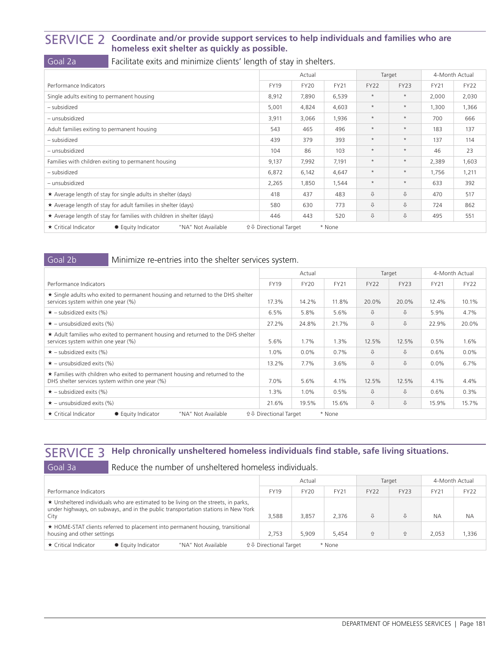### SERVICE 2 **Coordinate and/or provide support services to help individuals and families who are homeless exit shelter as quickly as possible.**

Goal 2a **Facilitate exits and minimize clients' length of stay in shelters.** 

|                                                                         | Actual                       |             | Target      |             | 4-Month Actual |             |             |
|-------------------------------------------------------------------------|------------------------------|-------------|-------------|-------------|----------------|-------------|-------------|
| Performance Indicators                                                  | <b>FY19</b>                  | <b>FY20</b> | <b>FY21</b> | <b>FY22</b> | <b>FY23</b>    | <b>FY21</b> | <b>FY22</b> |
| Single adults exiting to permanent housing                              | 8,912                        | 7,890       | 6,539       | $\star$     | $\star$        | 2,000       | 2,030       |
| - subsidized                                                            | 5,001                        | 4,824       | 4,603       | $\star$     | $\star$        | 1,300       | 1,366       |
| - unsubsidized                                                          | 3,911                        | 3,066       | 1,936       | $\star$     | $\star$        | 700         | 666         |
| Adult families exiting to permanent housing                             | 543                          | 465         | 496         | $\star$     | $\star$        | 183         | 137         |
| - subsidized                                                            | 439                          | 379         | 393         | $\star$     | $\star$        | 137         | 114         |
| - unsubsidized                                                          | 104                          | 86          | 103         | $\star$     | $\star$        | 46          | 23          |
| Families with children exiting to permanent housing                     | 9,137                        | 7,992       | 7,191       | $\star$     | $\star$        | 2,389       | 1,603       |
| - subsidized                                                            | 6,872                        | 6,142       | 4,647       | $\star$     | $\star$        | 1,756       | 1,211       |
| - unsubsidized                                                          | 2,265                        | 1,850       | 1,544       | $\star$     | $\star$        | 633         | 392         |
| $\star$ Average length of stay for single adults in shelter (days)      | 418                          | 437         | 483         | ⇩           | ⇩              | 470         | 517         |
| ★ Average length of stay for adult families in shelter (days)           |                              | 630         | 773         | ⇩           | ⇩              | 724         | 862         |
| * Average length of stay for families with children in shelter (days)   |                              | 443         | 520         | ⇩           | ⇩              | 495         | 551         |
| ★ Critical Indicator<br>"NA" Not Available<br><b>● Equity Indicator</b> | <b>↑↓ Directional Target</b> |             | * None      |             |                |             |             |

### Goal 2b Minimize re-entries into the shelter services system.

|                                                                                                                                 | Actual                       |             |        | Target      |             | 4-Month Actual |             |
|---------------------------------------------------------------------------------------------------------------------------------|------------------------------|-------------|--------|-------------|-------------|----------------|-------------|
| Performance Indicators                                                                                                          | <b>FY19</b>                  | <b>FY20</b> | FY21   | <b>FY22</b> | <b>FY23</b> | <b>FY21</b>    | <b>FY22</b> |
| ★ Single adults who exited to permanent housing and returned to the DHS shelter<br>services system within one year (%)          | 17.3%                        | 14.2%       | 11.8%  | 20.0%       | 20.0%       | 12.4%          | 10.1%       |
| $\star$ – subsidized exits (%)                                                                                                  | 6.5%                         | 5.8%        | 5.6%   | ⇩           | ⇩           | 5.9%           | 4.7%        |
| $\star$ – unsubsidized exits (%)                                                                                                | 27.2%                        | 24.8%       | 21.7%  | ⇩           | ⇩           | 22.9%          | 20.0%       |
| ★ Adult families who exited to permanent housing and returned to the DHS shelter<br>services system within one year (%)         | 5.6%                         | 1.7%        | 1.3%   | 12.5%       | 12.5%       | 0.5%           | 1.6%        |
| $\star$ – subsidized exits (%)                                                                                                  | $1.0\%$                      | $0.0\%$     | 0.7%   | ⇩           | ⇩           | 0.6%           | $0.0\%$     |
| $\star$ – unsubsidized exits (%)                                                                                                | 13.2%                        | 7.7%        | 3.6%   | ⇩           | ⇩           | $0.0\%$        | 6.7%        |
| * Families with children who exited to permanent housing and returned to the<br>DHS shelter services system within one year (%) | 7.0%                         | 5.6%        | 4.1%   | 12.5%       | 12.5%       | 4.1%           | 4.4%        |
| $\star$ – subsidized exits (%)                                                                                                  | $1.3\%$                      | 1.0%        | 0.5%   | ⇩           | ⇩           | 0.6%           | 0.3%        |
| $\star$ – unsubsidized exits (%)                                                                                                | 21.6%                        | 19.5%       | 15.6%  | ⇩           | ⇩           | 15.9%          | 15.7%       |
| ★ Critical Indicator<br>"NA" Not Available<br><b>● Equity Indicator</b>                                                         | <b>↑↓ Directional Target</b> |             | * None |             |             |                |             |

### SERVICE 3 **Help chronically unsheltered homeless individuals find stable, safe living situations.**

| ╌ |    |
|---|----|
|   | a, |

Reduce the number of unsheltered homeless individuals.

|                                                                                                                                                                                 | Actual                            |             |             |             | Target      |             | 4-Month Actual |
|---------------------------------------------------------------------------------------------------------------------------------------------------------------------------------|-----------------------------------|-------------|-------------|-------------|-------------|-------------|----------------|
| Performance Indicators                                                                                                                                                          | <b>FY19</b>                       | <b>FY20</b> | <b>FY21</b> | <b>FY22</b> | <b>FY23</b> | <b>FY21</b> | <b>FY22</b>    |
| ★ Unsheltered individuals who are estimated to be living on the streets, in parks,<br>under highways, on subways, and in the public transportation stations in New York<br>City | 3,588                             | 3,857       | 2.376       | ⇩           |             | <b>NA</b>   | <b>NA</b>      |
| ★ HOME-STAT clients referred to placement into permanent housing, transitional<br>housing and other settings                                                                    | 2.753                             | 5,909       | 5.454       | ⇧           |             | 2.053       | 1.336          |
| ★ Critical Indicator<br>"NA" Not Available<br><b><math>*</math> Equity Indicator</b>                                                                                            | <b>û &amp; Directional Target</b> |             | * None      |             |             |             |                |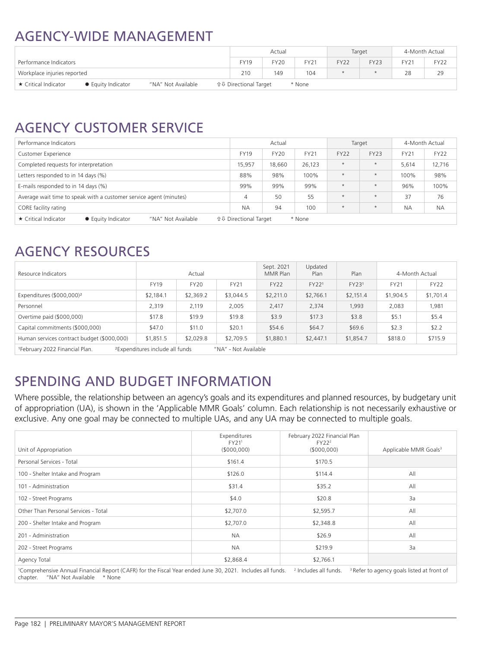### AGENCY-WIDE MANAGEMENT

|                             |                           |                    |                               | Actual      |             |             | Target      |             | 4-Month Actual |
|-----------------------------|---------------------------|--------------------|-------------------------------|-------------|-------------|-------------|-------------|-------------|----------------|
| Performance Indicators      |                           |                    | <b>FY19</b>                   | <b>FY20</b> | <b>FY21</b> | <b>FY22</b> | <b>FY23</b> | <b>FY21</b> | <b>FY22</b>    |
| Workplace injuries reported |                           |                    | 210                           | 149         | 104         |             |             | 28          | 29             |
| ★ Critical Indicator        | <b>● Equity Indicator</b> | "NA" Not Available | <b>û ↓ Directional Target</b> |             | * None      |             |             |             |                |

## AGENCY CUSTOMER SERVICE

| Performance Indicators                                                                                                                |             | Actual      |             | Target      |             | 4-Month Actual |             |  |
|---------------------------------------------------------------------------------------------------------------------------------------|-------------|-------------|-------------|-------------|-------------|----------------|-------------|--|
| <b>Customer Experience</b>                                                                                                            | <b>FY19</b> | <b>FY20</b> | <b>FY21</b> | <b>FY22</b> | <b>FY23</b> | <b>FY21</b>    | <b>FY22</b> |  |
| Completed requests for interpretation                                                                                                 | 15,957      | 18,660      | 26,123      | $\star$     | $\star$     | 5,614          | 12,716      |  |
| Letters responded to in 14 days (%)                                                                                                   | 88%         | 98%         | 100%        | $\star$     | $\star$     | 100%           | 98%         |  |
| E-mails responded to in 14 days (%)                                                                                                   | 99%         | 99%         | 99%         | $\star$     | $\star$     | 96%            | 100%        |  |
| Average wait time to speak with a customer service agent (minutes)                                                                    | 4           | 50          | 55          | $\star$     | $\star$     | 37             | 76          |  |
| CORE facility rating                                                                                                                  | <b>NA</b>   | 94          | 100         | $\star$     | $\star$     | <b>NA</b>      | <b>NA</b>   |  |
| $\star$ Critical Indicator<br>"NA" Not Available<br><b>û ↓ Directional Target</b><br><b><math>*</math> Equity Indicator</b><br>* None |             |             |             |             |             |                |             |  |

### AGENCY RESOURCES

| Resource Indicators                                                                                               |             | Actual    |           | Sept. 2021<br>MMR Plan | Updated<br>Plan | Plan      |             | 4-Month Actual |
|-------------------------------------------------------------------------------------------------------------------|-------------|-----------|-----------|------------------------|-----------------|-----------|-------------|----------------|
|                                                                                                                   | <b>FY19</b> | FY20      | FY21      | <b>FY22</b>            | FY221           | FY231     | <b>FY21</b> | FY22           |
| Expenditures (\$000,000) <sup>2</sup>                                                                             | \$2,184.1   | \$2,369.2 | \$3,044.5 | \$2,211.0              | \$2,766.1       | \$2,151.4 | \$1,904.5   | \$1,701.4      |
| Personnel                                                                                                         | 2,319       | 2,119     | 2,005     | 2,417                  | 2,374           | 1,993     | 2,083       | 1,981          |
| Overtime paid (\$000,000)                                                                                         | \$17.8      | \$19.9    | \$19.8    | \$3.9                  | \$17.3          | \$3.8     | \$5.1       | \$5.4          |
| Capital commitments (\$000,000)                                                                                   | \$47.0      | \$11.0    | \$20.1    | \$54.6                 | \$64.7          | \$69.6    | \$2.3       | \$2.2          |
| Human services contract budget (\$000,000)                                                                        | \$1,851.5   | \$2,029.8 | \$2,709.5 | \$1,880.1              | \$2,447.1       | \$1,854.7 | \$818.0     | \$715.9        |
| <sup>2</sup> Expenditures include all funds<br><sup>1</sup> February 2022 Financial Plan.<br>"NA" - Not Available |             |           |           |                        |                 |           |             |                |

### SPENDING AND BUDGET INFORMATION

Where possible, the relationship between an agency's goals and its expenditures and planned resources, by budgetary unit of appropriation (UA), is shown in the 'Applicable MMR Goals' column. Each relationship is not necessarily exhaustive or exclusive. Any one goal may be connected to multiple UAs, and any UA may be connected to multiple goals.

| Unit of Appropriation                                                                                                                                           | Expenditures<br>FY211<br>(5000,000) | February 2022 Financial Plan<br>FY22 <sup>2</sup><br>(\$000,000) | Applicable MMR Goals <sup>3</sup>                     |
|-----------------------------------------------------------------------------------------------------------------------------------------------------------------|-------------------------------------|------------------------------------------------------------------|-------------------------------------------------------|
| Personal Services - Total                                                                                                                                       | \$161.4                             | \$170.5                                                          |                                                       |
| 100 - Shelter Intake and Program                                                                                                                                | \$126.0                             | \$114.4                                                          | All                                                   |
| 101 - Administration                                                                                                                                            | \$31.4                              | \$35.2                                                           | All                                                   |
| 102 - Street Programs                                                                                                                                           | \$4.0                               | \$20.8                                                           | 3a                                                    |
| Other Than Personal Services - Total                                                                                                                            | \$2,707.0                           | \$2,595.7                                                        | All                                                   |
| 200 - Shelter Intake and Program                                                                                                                                | \$2,707.0                           | \$2,348.8                                                        | All                                                   |
| 201 - Administration                                                                                                                                            | <b>NA</b>                           | \$26.9                                                           | All                                                   |
| 202 - Street Programs                                                                                                                                           | <b>NA</b>                           | \$219.9                                                          | 3a                                                    |
| Agency Total                                                                                                                                                    | \$2,868.4                           | \$2,766.1                                                        |                                                       |
| <sup>1</sup> Comprehensive Annual Financial Report (CAFR) for the Fiscal Year ended June 30, 2021. Includes all funds.<br>"NA" Not Available * None<br>chapter. |                                     | <sup>2</sup> Includes all funds.                                 | <sup>3</sup> Refer to agency goals listed at front of |